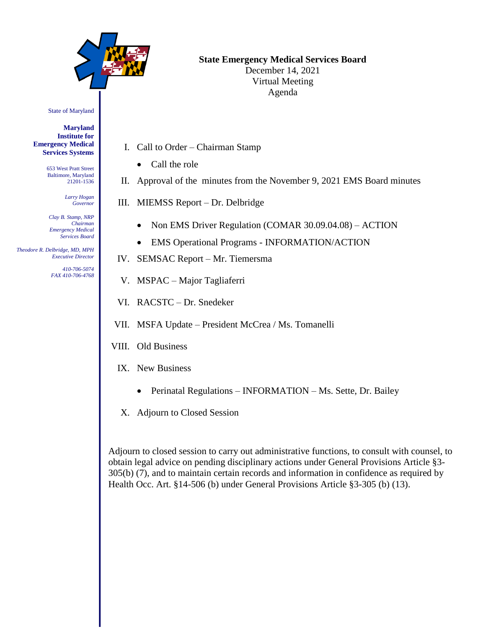

# **State Emergency Medical Services Board**

December 14, 2021 Virtual Meeting Agenda

State of Maryland

**Maryland Institute for Emergency Medical Services Systems**

> 653 West Pratt Street Baltimore, Maryland 21201-1536

> > *Larry Hogan Governor*

*Clay B. Stamp, NRP Chairman Emergency Medical Services Board*

 *Theodore R. Delbridge, MD, MPH Executive Director*

> *410-706-5074 FAX 410-706-4768*

- I. Call to Order Chairman Stamp
	- Call the role
- II. Approval of the minutes from the November 9, 2021 EMS Board minutes
- III. MIEMSS Report Dr. Delbridge
	- Non EMS Driver Regulation (COMAR 30.09.04.08) ACTION
	- EMS Operational Programs INFORMATION/ACTION
- IV. SEMSAC Report Mr. Tiemersma
- V. MSPAC Major Tagliaferri
- VI. RACSTC Dr. Snedeker
- VII. MSFA Update President McCrea / Ms. Tomanelli
- VIII. Old Business
- IX. New Business
	- Perinatal Regulations INFORMATION Ms. Sette, Dr. Bailey
	- X. Adjourn to Closed Session

Adjourn to closed session to carry out administrative functions, to consult with counsel, to obtain legal advice on pending disciplinary actions under General Provisions Article §3- 305(b) (7), and to maintain certain records and information in confidence as required by Health Occ. Art. §14-506 (b) under General Provisions Article §3-305 (b) (13).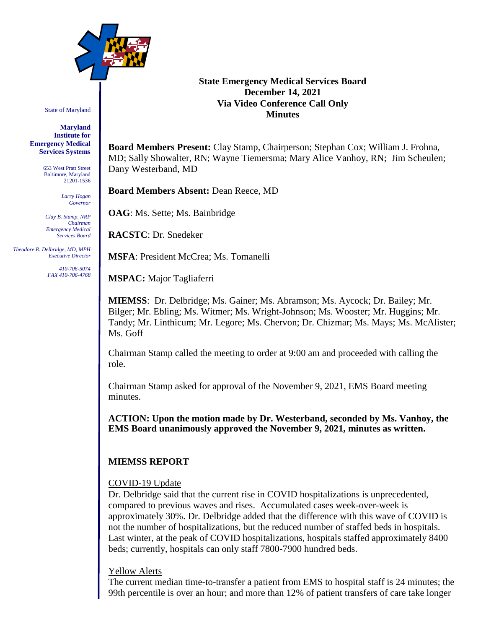

State of Maryland

#### **Maryland Institute for Emergency Medical Services Systems**

653 West Pratt Street Baltimore, Maryland 21201-1536

> *Larry Hogan Governor*

*Clay B. Stamp, NRP Chairman Emergency Medical Services Board*

 *Theodore R. Delbridge, MD, MPH Executive Director*

> *410-706-5074 FAX 410-706-4768*

# **State Emergency Medical Services Board December 14, 2021 Via Video Conference Call Only Minutes**

**Board Members Present:** Clay Stamp, Chairperson; Stephan Cox; William J. Frohna, MD; Sally Showalter, RN; Wayne Tiemersma; Mary Alice Vanhoy, RN; Jim Scheulen; Dany Westerband, MD

**Board Members Absent:** Dean Reece, MD

**OAG**: Ms. Sette; Ms. Bainbridge

**RACSTC**: Dr. Snedeker

**MSFA**: President McCrea; Ms. Tomanelli

**MSPAC:** Major Tagliaferri

**MIEMSS**: Dr. Delbridge; Ms. Gainer; Ms. Abramson; Ms. Aycock; Dr. Bailey; Mr. Bilger; Mr. Ebling; Ms. Witmer; Ms. Wright-Johnson; Ms. Wooster; Mr. Huggins; Mr. Tandy; Mr. Linthicum; Mr. Legore; Ms. Chervon; Dr. Chizmar; Ms. Mays; Ms. McAlister; Ms. Goff

Chairman Stamp called the meeting to order at 9:00 am and proceeded with calling the role.

Chairman Stamp asked for approval of the November 9, 2021, EMS Board meeting minutes.

**ACTION: Upon the motion made by Dr. Westerband, seconded by Ms. Vanhoy, the EMS Board unanimously approved the November 9, 2021, minutes as written.**

# **MIEMSS REPORT**

## COVID-19 Update

Dr. Delbridge said that the current rise in COVID hospitalizations is unprecedented, compared to previous waves and rises. Accumulated cases week-over-week is approximately 30%. Dr. Delbridge added that the difference with this wave of COVID is not the number of hospitalizations, but the reduced number of staffed beds in hospitals. Last winter, at the peak of COVID hospitalizations, hospitals staffed approximately 8400 beds; currently, hospitals can only staff 7800-7900 hundred beds.

## Yellow Alerts

The current median time-to-transfer a patient from EMS to hospital staff is 24 minutes; the 99th percentile is over an hour; and more than 12% of patient transfers of care take longer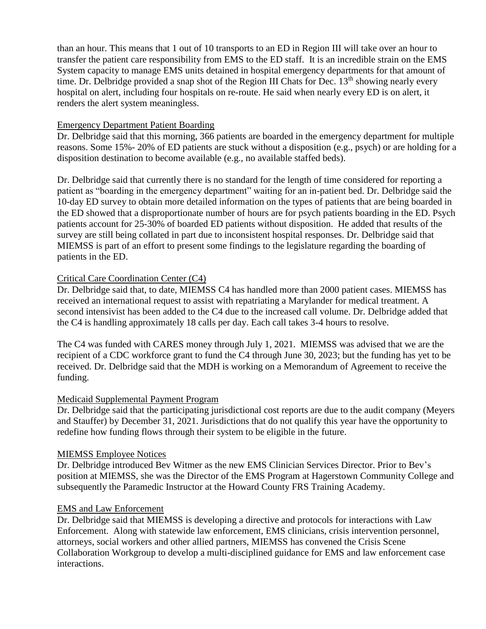than an hour. This means that 1 out of 10 transports to an ED in Region III will take over an hour to transfer the patient care responsibility from EMS to the ED staff. It is an incredible strain on the EMS System capacity to manage EMS units detained in hospital emergency departments for that amount of time. Dr. Delbridge provided a snap shot of the Region III Chats for Dec.  $13<sup>th</sup>$  showing nearly every hospital on alert, including four hospitals on re-route. He said when nearly every ED is on alert, it renders the alert system meaningless.

# Emergency Department Patient Boarding

Dr. Delbridge said that this morning, 366 patients are boarded in the emergency department for multiple reasons. Some 15%- 20% of ED patients are stuck without a disposition (e.g., psych) or are holding for a disposition destination to become available (e.g., no available staffed beds).

Dr. Delbridge said that currently there is no standard for the length of time considered for reporting a patient as "boarding in the emergency department" waiting for an in-patient bed. Dr. Delbridge said the 10-day ED survey to obtain more detailed information on the types of patients that are being boarded in the ED showed that a disproportionate number of hours are for psych patients boarding in the ED. Psych patients account for 25-30% of boarded ED patients without disposition. He added that results of the survey are still being collated in part due to inconsistent hospital responses. Dr. Delbridge said that MIEMSS is part of an effort to present some findings to the legislature regarding the boarding of patients in the ED.

# Critical Care Coordination Center (C4)

Dr. Delbridge said that, to date, MIEMSS C4 has handled more than 2000 patient cases. MIEMSS has received an international request to assist with repatriating a Marylander for medical treatment. A second intensivist has been added to the C4 due to the increased call volume. Dr. Delbridge added that the C4 is handling approximately 18 calls per day. Each call takes 3-4 hours to resolve.

The C4 was funded with CARES money through July 1, 2021. MIEMSS was advised that we are the recipient of a CDC workforce grant to fund the C4 through June 30, 2023; but the funding has yet to be received. Dr. Delbridge said that the MDH is working on a Memorandum of Agreement to receive the funding.

## Medicaid Supplemental Payment Program

Dr. Delbridge said that the participating jurisdictional cost reports are due to the audit company (Meyers and Stauffer) by December 31, 2021. Jurisdictions that do not qualify this year have the opportunity to redefine how funding flows through their system to be eligible in the future.

## MIEMSS Employee Notices

Dr. Delbridge introduced Bev Witmer as the new EMS Clinician Services Director. Prior to Bev's position at MIEMSS, she was the Director of the EMS Program at Hagerstown Community College and subsequently the Paramedic Instructor at the Howard County FRS Training Academy.

# EMS and Law Enforcement

Dr. Delbridge said that MIEMSS is developing a directive and protocols for interactions with Law Enforcement. Along with statewide law enforcement, EMS clinicians, crisis intervention personnel, attorneys, social workers and other allied partners, MIEMSS has convened the Crisis Scene Collaboration Workgroup to develop a multi-disciplined guidance for EMS and law enforcement case interactions.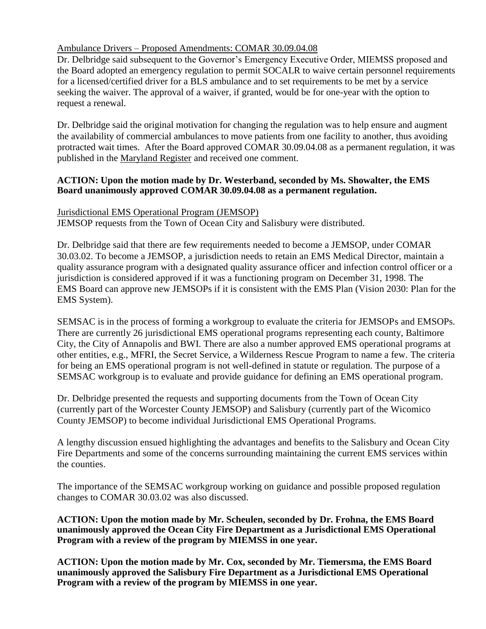# Ambulance Drivers – Proposed Amendments: COMAR 30.09.04.08

Dr. Delbridge said subsequent to the Governor's Emergency Executive Order, MIEMSS proposed and the Board adopted an emergency regulation to permit SOCALR to waive certain personnel requirements for a licensed/certified driver for a BLS ambulance and to set requirements to be met by a service seeking the waiver. The approval of a waiver, if granted, would be for one-year with the option to request a renewal.

Dr. Delbridge said the original motivation for changing the regulation was to help ensure and augment the availability of commercial ambulances to move patients from one facility to another, thus avoiding protracted wait times. After the Board approved COMAR 30.09.04.08 as a permanent regulation, it was published in the Maryland Register and received one comment.

# **ACTION: Upon the motion made by Dr. Westerband, seconded by Ms. Showalter, the EMS Board unanimously approved COMAR 30.09.04.08 as a permanent regulation.**

# Jurisdictional EMS Operational Program (JEMSOP)

JEMSOP requests from the Town of Ocean City and Salisbury were distributed.

Dr. Delbridge said that there are few requirements needed to become a JEMSOP, under COMAR 30.03.02. To become a JEMSOP, a jurisdiction needs to retain an EMS Medical Director, maintain a quality assurance program with a designated quality assurance officer and infection control officer or a jurisdiction is considered approved if it was a functioning program on December 31, 1998. The EMS Board can approve new JEMSOPs if it is consistent with the EMS Plan (Vision 2030: Plan for the EMS System).

SEMSAC is in the process of forming a workgroup to evaluate the criteria for JEMSOPs and EMSOPs. There are currently 26 jurisdictional EMS operational programs representing each county, Baltimore City, the City of Annapolis and BWI. There are also a number approved EMS operational programs at other entities, e.g., MFRI, the Secret Service, a Wilderness Rescue Program to name a few. The criteria for being an EMS operational program is not well-defined in statute or regulation. The purpose of a SEMSAC workgroup is to evaluate and provide guidance for defining an EMS operational program.

Dr. Delbridge presented the requests and supporting documents from the Town of Ocean City (currently part of the Worcester County JEMSOP) and Salisbury (currently part of the Wicomico County JEMSOP) to become individual Jurisdictional EMS Operational Programs.

A lengthy discussion ensued highlighting the advantages and benefits to the Salisbury and Ocean City Fire Departments and some of the concerns surrounding maintaining the current EMS services within the counties.

The importance of the SEMSAC workgroup working on guidance and possible proposed regulation changes to COMAR 30.03.02 was also discussed.

**ACTION: Upon the motion made by Mr. Scheulen, seconded by Dr. Frohna, the EMS Board unanimously approved the Ocean City Fire Department as a Jurisdictional EMS Operational Program with a review of the program by MIEMSS in one year.**

**ACTION: Upon the motion made by Mr. Cox, seconded by Mr. Tiemersma, the EMS Board unanimously approved the Salisbury Fire Department as a Jurisdictional EMS Operational Program with a review of the program by MIEMSS in one year.**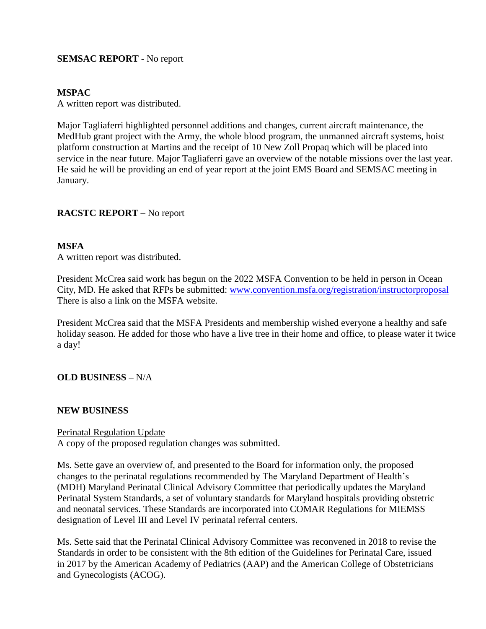# **SEMSAC REPORT -** No report

## **MSPAC**

A written report was distributed.

Major Tagliaferri highlighted personnel additions and changes, current aircraft maintenance, the MedHub grant project with the Army, the whole blood program, the unmanned aircraft systems, hoist platform construction at Martins and the receipt of 10 New Zoll Propaq which will be placed into service in the near future. Major Tagliaferri gave an overview of the notable missions over the last year. He said he will be providing an end of year report at the joint EMS Board and SEMSAC meeting in January.

## **RACSTC REPORT –** No report

#### **MSFA**

A written report was distributed.

President McCrea said work has begun on the 2022 MSFA Convention to be held in person in Ocean City, MD. He asked that RFPs be submitted: [www.convention.msfa.org/registration/instructorproposal](http://www.convention.msfa.org/registration/instructorproposal) There is also a link on the MSFA website.

President McCrea said that the MSFA Presidents and membership wished everyone a healthy and safe holiday season. He added for those who have a live tree in their home and office, to please water it twice a day!

## **OLD BUSINESS –** N/A

## **NEW BUSINESS**

## Perinatal Regulation Update

A copy of the proposed regulation changes was submitted.

Ms. Sette gave an overview of, and presented to the Board for information only, the proposed changes to the perinatal regulations recommended by The Maryland Department of Health's (MDH) Maryland Perinatal Clinical Advisory Committee that periodically updates the Maryland Perinatal System Standards, a set of voluntary standards for Maryland hospitals providing obstetric and neonatal services. These Standards are incorporated into COMAR Regulations for MIEMSS designation of Level III and Level IV perinatal referral centers.

Ms. Sette said that the Perinatal Clinical Advisory Committee was reconvened in 2018 to revise the Standards in order to be consistent with the 8th edition of the Guidelines for Perinatal Care, issued in 2017 by the American Academy of Pediatrics (AAP) and the American College of Obstetricians and Gynecologists (ACOG).